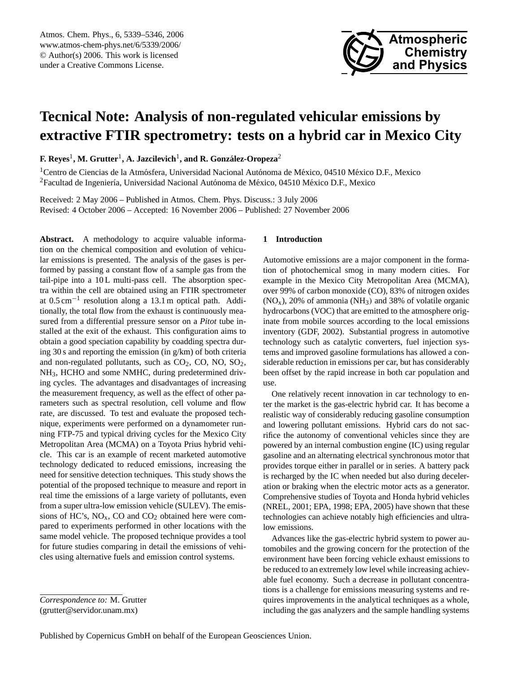

# <span id="page-0-0"></span>**Tecnical Note: Analysis of non-regulated vehicular emissions by extractive FTIR spectrometry: tests on a hybrid car in Mexico City**

**F. Reyes**<sup>1</sup> **, M. Grutter**<sup>1</sup> **, A. Jazcilevich**<sup>1</sup> **, and R. Gonzalez-Oropeza ´** 2

<sup>1</sup>Centro de Ciencias de la Atmósfera, Universidad Nacional Autónoma de México, 04510 México D.F., Mexico  ${}^{2}$ Facultad de Ingeniería, Universidad Nacional Autónoma de México, 04510 México D.F., Mexico

Received: 2 May 2006 – Published in Atmos. Chem. Phys. Discuss.: 3 July 2006 Revised: 4 October 2006 – Accepted: 16 November 2006 – Published: 27 November 2006

**Abstract.** A methodology to acquire valuable information on the chemical composition and evolution of vehicular emissions is presented. The analysis of the gases is performed by passing a constant flow of a sample gas from the tail-pipe into a  $10L$  multi-pass cell. The absorption spectra within the cell are obtained using an FTIR spectrometer at 0.5 cm−<sup>1</sup> resolution along a 13.1 m optical path. Additionally, the total flow from the exhaust is continuously measured from a differential pressure sensor on a *Pitot* tube installed at the exit of the exhaust. This configuration aims to obtain a good speciation capability by coadding spectra during 30 s and reporting the emission (in g/km) of both criteria and non-regulated pollutants, such as  $CO<sub>2</sub>$ ,  $CO$ ,  $NO$ ,  $SO<sub>2</sub>$ , NH3, HCHO and some NMHC, during predetermined driving cycles. The advantages and disadvantages of increasing the measurement frequency, as well as the effect of other parameters such as spectral resolution, cell volume and flow rate, are discussed. To test and evaluate the proposed technique, experiments were performed on a dynamometer running FTP-75 and typical driving cycles for the Mexico City Metropolitan Area (MCMA) on a Toyota Prius hybrid vehicle. This car is an example of recent marketed automotive technology dedicated to reduced emissions, increasing the need for sensitive detection techniques. This study shows the potential of the proposed technique to measure and report in real time the emissions of a large variety of pollutants, even from a super ultra-low emission vehicle (SULEV). The emissions of HC's,  $NO<sub>x</sub>$ , CO and  $CO<sub>2</sub>$  obtained here were compared to experiments performed in other locations with the same model vehicle. The proposed technique provides a tool for future studies comparing in detail the emissions of vehicles using alternative fuels and emission control systems.

# *Correspondence to:* M. Grutter (grutter@servidor.unam.mx)

## **1 Introduction**

Automotive emissions are a major component in the formation of photochemical smog in many modern cities. For example in the Mexico City Metropolitan Area (MCMA), over 99% of carbon monoxide (CO), 83% of nitrogen oxides  $(NO<sub>x</sub>)$ , 20% of ammonia  $(NH<sub>3</sub>)$  and 38% of volatile organic hydrocarbons (VOC) that are emitted to the atmosphere originate from mobile sources according to the local emissions inventory (GDF, 2002). Substantial progress in automotive technology such as catalytic converters, fuel injection systems and improved gasoline formulations has allowed a considerable reduction in emissions per car, but has considerably been offset by the rapid increase in both car population and use.

One relatively recent innovation in car technology to enter the market is the gas-electric hybrid car. It has become a realistic way of considerably reducing gasoline consumption and lowering pollutant emissions. Hybrid cars do not sacrifice the autonomy of conventional vehicles since they are powered by an internal combustion engine (IC) using regular gasoline and an alternating electrical synchronous motor that provides torque either in parallel or in series. A battery pack is recharged by the IC when needed but also during deceleration or braking when the electric motor acts as a generator. Comprehensive studies of Toyota and Honda hybrid vehicles (NREL, 2001; EPA, 1998; EPA, 2005) have shown that these technologies can achieve notably high efficiencies and ultralow emissions.

Advances like the gas-electric hybrid system to power automobiles and the growing concern for the protection of the environment have been forcing vehicle exhaust emissions to be reduced to an extremely low level while increasing achievable fuel economy. Such a decrease in pollutant concentrations is a challenge for emissions measuring systems and requires improvements in the analytical techniques as a whole, including the gas analyzers and the sample handling systems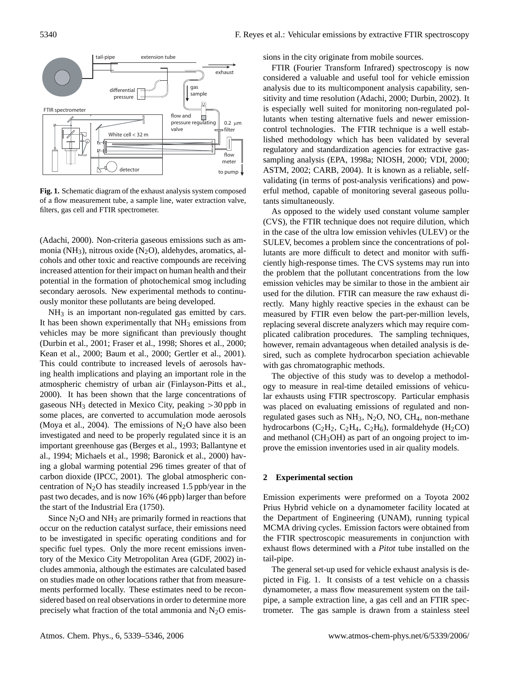

**Fig. 1.** Schematic diagram of the exhaust analysis system composed of a flow measurement tube, a sample line, water extraction valve, filters, gas cell and FTIR spectrometer.

(Adachi, 2000). Non-criteria gaseous emissions such as ammonia (NH<sub>3</sub>), nitrous oxide (N<sub>2</sub>O), aldehydes, aromatics, alcohols and other toxic and reactive compounds are receiving increased attention for their impact on human health and their potential in the formation of photochemical smog including secondary aerosols. New experimental methods to continuously monitor these pollutants are being developed.

NH<sub>3</sub> is an important non-regulated gas emitted by cars. It has been shown experimentally that  $NH_3$  emissions from vehicles may be more significant than previously thought (Durbin et al., 2001; Fraser et al., 1998; Shores et al., 2000; Kean et al., 2000; Baum et al., 2000; Gertler et al., 2001). This could contribute to increased levels of aerosols having health implications and playing an important role in the atmospheric chemistry of urban air (Finlayson-Pitts et al., 2000). It has been shown that the large concentrations of gaseous  $NH_3$  detected in Mexico City, peaking  $>30$  ppb in some places, are converted to accumulation mode aerosols (Moya et al., 2004). The emissions of  $N_2O$  have also been investigated and need to be properly regulated since it is an important greenhouse gas (Berges et al., 1993; Ballantyne et al., 1994; Michaels et al., 1998; Baronick et al., 2000) having a global warming potential 296 times greater of that of carbon dioxide (IPCC, 2001). The global atmospheric concentration of  $N_2O$  has steadily increased 1.5 ppb/year in the past two decades, and is now 16% (46 ppb) larger than before the start of the Industrial Era (1750).

Since  $N_2O$  and  $NH_3$  are primarily formed in reactions that occur on the reduction catalyst surface, their emissions need to be investigated in specific operating conditions and for specific fuel types. Only the more recent emissions inventory of the Mexico City Metropolitan Area (GDF, 2002) includes ammonia, although the estimates are calculated based on studies made on other locations rather that from measurements performed locally. These estimates need to be reconsidered based on real observations in order to determine more precisely what fraction of the total ammonia and  $N_2O$  emissions in the city originate from mobile sources.

FTIR (Fourier Transform Infrared) spectroscopy is now considered a valuable and useful tool for vehicle emission analysis due to its multicomponent analysis capability, sensitivity and time resolution (Adachi, 2000; Durbin, 2002). It is especially well suited for monitoring non-regulated pollutants when testing alternative fuels and newer emissioncontrol technologies. The FTIR technique is a well established methodology which has been validated by several regulatory and standardization agencies for extractive gassampling analysis (EPA, 1998a; NIOSH, 2000; VDI, 2000; ASTM, 2002; CARB, 2004). It is known as a reliable, selfvalidating (in terms of post-analysis verifications) and powerful method, capable of monitoring several gaseous pollutants simultaneously.

As opposed to the widely used constant volume sampler (CVS), the FTIR technique does not require dilution, which in the case of the ultra low emission vehivles (ULEV) or the SULEV, becomes a problem since the concentrations of pollutants are more difficult to detect and monitor with sufficiently high-response times. The CVS systems may run into the problem that the pollutant concentrations from the low emission vehicles may be similar to those in the ambient air used for the dilution. FTIR can measure the raw exhaust directly. Many highly reactive species in the exhaust can be measured by FTIR even below the part-per-million levels, replacing several discrete analyzers which may require complicated calibration procedures. The sampling techniques, however, remain advantageous when detailed analysis is desired, such as complete hydrocarbon speciation achievable with gas chromatographic methods.

The objective of this study was to develop a methodology to measure in real-time detailed emissions of vehicular exhausts using FTIR spectroscopy. Particular emphasis was placed on evaluating emissions of regulated and nonregulated gases such as  $NH_3$ , N<sub>2</sub>O, NO, CH<sub>4</sub>, non-methane hydrocarbons ( $C_2H_2$ ,  $C_2H_4$ ,  $C_2H_6$ ), formaldehyde ( $H_2CO$ ) and methanol ( $CH<sub>3</sub>OH$ ) as part of an ongoing project to improve the emission inventories used in air quality models.

# **2 Experimental section**

Emission experiments were preformed on a Toyota 2002 Prius Hybrid vehicle on a dynamometer facility located at the Department of Engineering (UNAM), running typical MCMA driving cycles. Emission factors were obtained from the FTIR spectroscopic measurements in conjunction with exhaust flows determined with a *Pitot* tube installed on the tail-pipe.

The general set-up used for vehicle exhaust analysis is depicted in Fig. 1. It consists of a test vehicle on a chassis dynamometer, a mass flow measurement system on the tailpipe, a sample extraction line, a gas cell and an FTIR spectrometer. The gas sample is drawn from a stainless steel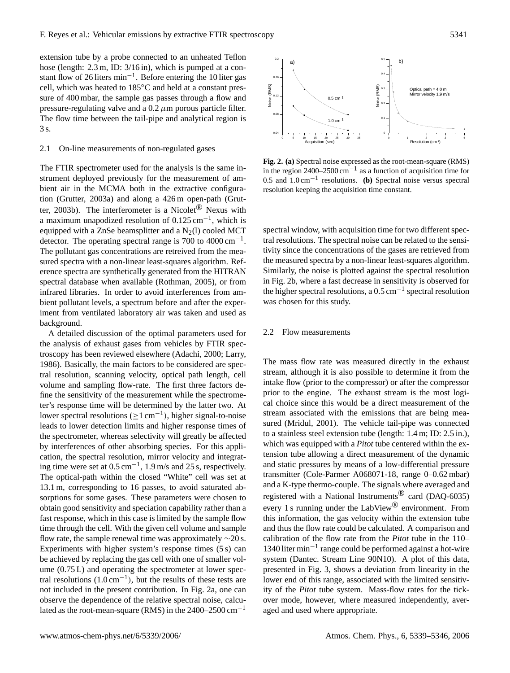extension tube by a probe connected to an unheated Teflon hose (length: 2.3 m, ID:  $3/16$  in), which is pumped at a constant flow of 26 liters min<sup>-1</sup>. Before entering the 10 liter gas cell, which was heated to 185◦C and held at a constant pressure of 400 mbar, the sample gas passes through a flow and pressure-regulating valve and a  $0.2 \mu$ m porous particle filter. The flow time between the tail-pipe and analytical region is 3 s.

## 2.1 On-line measurements of non-regulated gases

The FTIR spectrometer used for the analysis is the same instrument deployed previously for the measurement of ambient air in the MCMA both in the extractive configuration (Grutter, 2003a) and along a 426 m open-path (Grutter, 2003b). The interferometer is a Nicolet<sup>®</sup> Nexus with a maximum unapodized resolution of  $0.125 \text{ cm}^{-1}$ , which is equipped with a ZnSe beamsplitter and a  $N_2(1)$  cooled MCT detector. The operating spectral range is 700 to 4000 cm−<sup>1</sup> . The pollutant gas concentrations are retreived from the measured spectra with a non-linear least-squares algorithm. Reference spectra are synthetically generated from the HITRAN spectral database when available (Rothman, 2005), or from infrared libraries. In order to avoid interferences from ambient pollutant levels, a spectrum before and after the experiment from ventilated laboratory air was taken and used as background.

A detailed discussion of the optimal parameters used for the analysis of exhaust gases from vehicles by FTIR spectroscopy has been reviewed elsewhere (Adachi, 2000; Larry, 1986). Basically, the main factors to be considered are spectral resolution, scanning velocity, optical path length, cell volume and sampling flow-rate. The first three factors define the sensitivity of the measurement while the spectrometer's response time will be determined by the latter two. At lower spectral resolutions ( $\geq 1$  cm<sup>-1</sup>), higher signal-to-noise leads to lower detection limits and higher response times of the spectrometer, whereas selectivity will greatly be affected by interferences of other absorbing species. For this application, the spectral resolution, mirror velocity and integrating time were set at 0.5 cm−<sup>1</sup> , 1.9 m/s and 25 s, respectively. The optical-path within the closed "White" cell was set at 13.1 m, corresponding to 16 passes, to avoid saturated absorptions for some gases. These parameters were chosen to obtain good sensitivity and speciation capability rather than a fast response, which in this case is limited by the sample flow time through the cell. With the given cell volume and sample flow rate, the sample renewal time was approximately  $\sim$ 20 s. Experiments with higher system's response times (5 s) can be achieved by replacing the gas cell with one of smaller volume (0.75 L) and operating the spectrometer at lower spectral resolutions  $(1.0 \text{ cm}^{-1})$ , but the results of these tests are not included in the present contribution. In Fig. 2a, one can observe the dependence of the relative spectral noise, calculated as the root-mean-square (RMS) in the  $2400-2500$  cm<sup>-1</sup>



**Fig. 2. (a)** Spectral noise expressed as the root-mean-square (RMS) in the region 2400–2500 cm−<sup>1</sup> as a function of acquisition time for 0.5 and 1.0 cm−<sup>1</sup> resolutions. **(b)** Spectral noise versus spectral resolution keeping the acquisition time constant.

spectral window, with acquisition time for two different spectral resolutions. The spectral noise can be related to the sensitivity since the concentrations of the gases are retrieved from the measured spectra by a non-linear least-squares algorithm. Similarly, the noise is plotted against the spectral resolution in Fig. 2b, where a fast decrease in sensitivity is observed for the higher spectral resolutions, a  $0.5 \text{ cm}^{-1}$  spectral resolution was chosen for this study.

#### 2.2 Flow measurements

The mass flow rate was measured directly in the exhaust stream, although it is also possible to determine it from the intake flow (prior to the compressor) or after the compressor prior to the engine. The exhaust stream is the most logical choice since this would be a direct measurement of the stream associated with the emissions that are being measured (Mridul, 2001). The vehicle tail-pipe was connected to a stainless steel extension tube (length: 1.4 m; ID: 2.5 in.), which was equipped with a *Pitot* tube centered within the extension tube allowing a direct measurement of the dynamic and static pressures by means of a low-differential pressure transmitter (Cole-Parmer A068071-18, range 0–0.62 mbar) and a K-type thermo-couple. The signals where averaged and registered with a National Instruments® card (DAQ-6035) every 1 s running under the LabView® environment. From this information, the gas velocity within the extension tube and thus the flow rate could be calculated. A comparison and calibration of the flow rate from the *Pitot* tube in the 110– 1340 liter min−<sup>1</sup> range could be performed against a hot-wire system (Dantec. Stream Line 90N10). A plot of this data, presented in Fig. 3, shows a deviation from linearity in the lower end of this range, associated with the limited sensitivity of the *Pitot* tube system. Mass-flow rates for the tickover mode, however, where measured independently, averaged and used where appropriate.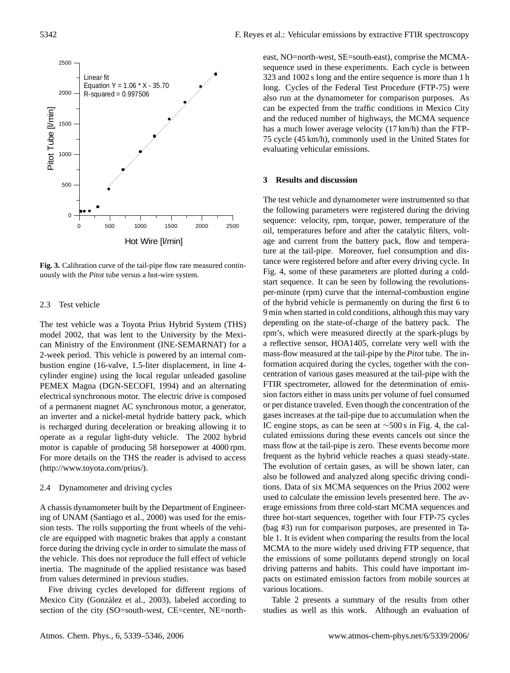

**Fig. 3.** Calibration curve of the tail-pipe flow rate measured continuously with the *Pitot* tube versus a hot-wire system.

#### 2.3 Test vehicle

The test vehicle was a Toyota Prius Hybrid System (THS) model 2002, that was lent to the University by the Mexican Ministry of the Environment (INE-SEMARNAT) for a 2-week period. This vehicle is powered by an internal combustion engine (16-valve, 1.5-liter displacement, in line 4 cylinder engine) using the local regular unleaded gasoline PEMEX Magna (DGN-SECOFI, 1994) and an alternating electrical synchronous motor. The electric drive is composed of a permanent magnet AC synchronous motor, a generator, an inverter and a nickel-metal hydride battery pack, which is recharged during deceleration or breaking allowing it to operate as a regular light-duty vehicle. The 2002 hybrid motor is capable of producing 58 horsepower at 4000 rpm. For more details on the THS the reader is advised to access [\(http://www.toyota.com/prius/\)](http://www.toyota.com/prius/).

## 2.4 Dynamometer and driving cycles

A chassis dynamometer built by the Department of Engineering of UNAM (Santiago et al., 2000) was used for the emission tests. The rolls supporting the front wheels of the vehicle are equipped with magnetic brakes that apply a constant force during the driving cycle in order to simulate the mass of the vehicle. This does not reproduce the full effect of vehicle inertia. The magnitude of the applied resistance was based from values determined in previous studies.

Five driving cycles developed for different regions of Mexico City (González et al., 2003), labeled according to section of the city (SO=south-west, CE=center, NE=north-

east, NO=north-west, SE=south-east), comprise the MCMAsequence used in these experiments. Each cycle is between 323 and 1002 s long and the entire sequence is more than 1 h long. Cycles of the Federal Test Procedure (FTP-75) were also run at the dynamometer for comparison purposes. As can be expected from the traffic conditions in Mexico City and the reduced number of highways, the MCMA sequence has a much lower average velocity (17 km/h) than the FTP-75 cycle (45 km/h), commonly used in the United States for evaluating vehicular emissions.

## **3 Results and discussion**

The test vehicle and dynamometer were instrumented so that the following parameters were registered during the driving sequence: velocity, rpm, torque, power, temperature of the oil, temperatures before and after the catalytic filters, voltage and current from the battery pack, flow and temperature at the tail-pipe. Moreover, fuel consumption and distance were registered before and after every driving cycle. In Fig. 4, some of these parameters are plotted during a coldstart sequence. It can be seen by following the revolutionsper-minute (rpm) curve that the internal-combustion engine of the hybrid vehicle is permanently on during the first 6 to 9 min when started in cold conditions, although this may vary depending on the state-of-charge of the battery pack. The rpm's, which were measured directly at the spark-plugs by a reflective sensor, HOA1405, correlate very well with the mass-flow measured at the tail-pipe by the *Pitot* tube. The information acquired during the cycles, together with the concentration of various gases measured at the tail-pipe with the FTIR spectrometer, allowed for the determination of emission factors either in mass units per volume of fuel consumed or per distance traveled. Even though the concentration of the gases increases at the tail-pipe due to accumulation when the IC engine stops, as can be seen at ∼500 s in Fig. 4, the calculated emissions during these events cancels out since the mass flow at the tail-pipe is zero. These events become more frequent as the hybrid vehicle reaches a quasi steady-state. The evolution of certain gases, as will be shown later, can also be followed and analyzed along specific driving conditions. Data of six MCMA sequences on the Prius 2002 were used to calculate the emission levels presented here. The average emissions from three cold-start MCMA sequences and three hot-start sequences, together with four FTP-75 cycles (bag #3) run for comparison purposes, are presented in Table 1. It is evident when comparing the results from the local MCMA to the more widely used driving FTP sequence, that the emissions of some pollutants depend strongly on local driving patterns and habits. This could have important impacts on estimated emission factors from mobile sources at various locations.

studies as well as this work. Although an evaluation of Table 2 presents a summary of the results from other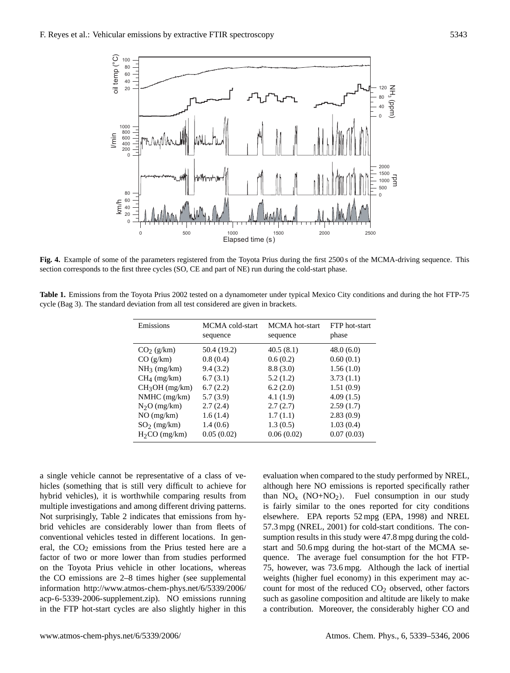

**Fig. 4.** Example of some of the parameters registered from the Toyota Prius during the first 2500 s of the MCMA-driving sequence. This section corresponds to the first three cycles (SO, CE and part of NE) run during the cold-start phase.

**Table 1.** Emissions from the Toyota Prius 2002 tested on a dynamometer under typical Mexico City conditions and during the hot FTP-75 cycle (Bag 3). The standard deviation from all test considered are given in brackets.

| Emissions       | MCMA cold-start<br>sequence | <b>MCMA</b> hot-start<br>sequence | FTP hot-start<br>phase |
|-----------------|-----------------------------|-----------------------------------|------------------------|
| $CO2$ (g/km)    | 50.4 (19.2)                 | 40.5(8.1)                         | 48.0(6.0)              |
| CO(g/km)        | 0.8(0.4)                    | 0.6(0.2)                          | 0.60(0.1)              |
| $NH_3$ (mg/km)  | 9.4(3.2)                    | 8.8(3.0)                          | 1.56(1.0)              |
| $CH_4$ (mg/km)  | 6.7(3.1)                    | 5.2(1.2)                          | 3.73(1.1)              |
| $CH3OH$ (mg/km) | 6.7(2.2)                    | 6.2(2.0)                          | 1.51(0.9)              |
| $NMHC$ (mg/km)  | 5.7(3.9)                    | 4.1(1.9)                          | 4.09(1.5)              |
| $N2O$ (mg/km)   | 2.7(2.4)                    | 2.7(2.7)                          | 2.59(1.7)              |
| $NO$ (mg/km)    | 1.6(1.4)                    | 1.7(1.1)                          | 2.83(0.9)              |
| $SO_2$ (mg/km)  | 1.4(0.6)                    | 1.3(0.5)                          | 1.03(0.4)              |
| $H_2CO$ (mg/km) | 0.05(0.02)                  | 0.06(0.02)                        | 0.07(0.03)             |

a single vehicle cannot be representative of a class of vehicles (something that is still very difficult to achieve for hybrid vehicles), it is worthwhile comparing results from multiple investigations and among different driving patterns. Not surprisingly, Table 2 indicates that emissions from hybrid vehicles are considerably lower than from fleets of conventional vehicles tested in different locations. In general, the  $CO<sub>2</sub>$  emissions from the Prius tested here are a factor of two or more lower than from studies performed on the Toyota Prius vehicle in other locations, whereas the CO emissions are 2–8 times higher (see supplemental information [http://www.atmos-chem-phys.net/6/5339/2006/](http://www.atmos-chem-phys.net/6/5339/2006/acp-6-5339-2006-supplement.zip) [acp-6-5339-2006-supplement.zip\)](http://www.atmos-chem-phys.net/6/5339/2006/acp-6-5339-2006-supplement.zip). NO emissions running in the FTP hot-start cycles are also slightly higher in this evaluation when compared to the study performed by NREL, although here NO emissions is reported specifically rather than  $NO<sub>x</sub>$  (NO+NO<sub>2</sub>). Fuel consumption in our study is fairly similar to the ones reported for city conditions elsewhere. EPA reports 52 mpg (EPA, 1998) and NREL 57.3 mpg (NREL, 2001) for cold-start conditions. The consumption results in this study were 47.8 mpg during the coldstart and 50.6 mpg during the hot-start of the MCMA sequence. The average fuel consumption for the hot FTP-75, however, was 73.6 mpg. Although the lack of inertial weights (higher fuel economy) in this experiment may account for most of the reduced  $CO<sub>2</sub>$  observed, other factors such as gasoline composition and altitude are likely to make a contribution. Moreover, the considerably higher CO and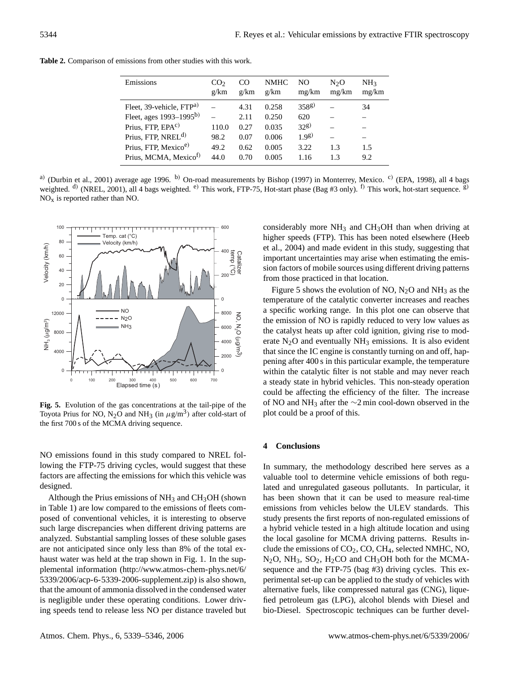| Table 2. Comparison of emissions from other studies with this work. |  |  |
|---------------------------------------------------------------------|--|--|

| Emissions                            | CO <sub>2</sub><br>g/km | CO<br>g/km | <b>NMHC</b><br>g/km | NO.<br>mg/km | N <sub>2</sub> O<br>mg/km | NH <sub>3</sub><br>mg/km |
|--------------------------------------|-------------------------|------------|---------------------|--------------|---------------------------|--------------------------|
| Fleet, 39-vehicle, FTP <sup>a)</sup> |                         | 4.31       | 0.258               | $358^{g}$    |                           | 34                       |
| Fleet, ages 1993-1995b)              |                         | 2.11       | 0.250               | 620          |                           |                          |
| Prius, FTP, EPA <sup>c)</sup>        | 110.0                   | 0.27       | 0.035               | 328)         |                           |                          |
| Prius, FTP, NREL <sup>d)</sup>       | 98.2                    | 0.07       | 0.006               | 1.98         |                           |                          |
| Prius, FTP, Mexico <sup>e)</sup>     | 49.2                    | 0.62       | 0.005               | 3.22         | 1.3                       | 1.5                      |
| Prius, MCMA, Mexico <sup>f)</sup>    | 44.0                    | 0.70       | 0.005               | 1.16         | 1.3                       | 9.2                      |

a) (Durbin et al., 2001) average age 1996. <sup>b)</sup> On-road measurements by Bishop (1997) in Monterrey, Mexico. <sup>c)</sup> (EPA, 1998), all 4 bags weighted.  $^{d)}$  (NREL, 2001), all 4 bags weighted.  $^{e)}$  This work, FTP-75, Hot-start phase (Bag #3 only). <sup>f)</sup> This work, hot-start sequence. <sup>g)</sup>  $NO<sub>x</sub>$  is reported rather than NO.



**Fig. 5.** Evolution of the gas concentrations at the tail-pipe of the Toyota Prius for NO,  $N_2O$  and NH<sub>3</sub> (in  $\mu g/m^3$ ) after cold-start of the first 700 s of the MCMA driving sequence.

NO emissions found in this study compared to NREL following the FTP-75 driving cycles, would suggest that these factors are affecting the emissions for which this vehicle was designed.

Although the Prius emissions of  $NH<sub>3</sub>$  and  $CH<sub>3</sub>OH$  (shown in Table 1) are low compared to the emissions of fleets composed of conventional vehicles, it is interesting to observe such large discrepancies when different driving patterns are analyzed. Substantial sampling losses of these soluble gases are not anticipated since only less than 8% of the total exhaust water was held at the trap shown in Fig. 1. In the supplemental information [\(http://www.atmos-chem-phys.net/6/](http://www.atmos-chem-phys.net/6/5339/2006/acp-6-5339-2006-supplement.zip) [5339/2006/acp-6-5339-2006-supplement.zip\)](http://www.atmos-chem-phys.net/6/5339/2006/acp-6-5339-2006-supplement.zip) is also shown, that the amount of ammonia dissolved in the condensed water is negligible under these operating conditions. Lower driving speeds tend to release less NO per distance traveled but considerably more  $NH_3$  and  $CH_3OH$  than when driving at higher speeds (FTP). This has been noted elsewhere (Heeb et al., 2004) and made evident in this study, suggesting that important uncertainties may arise when estimating the emission factors of mobile sources using different driving patterns from those practiced in that location.

Figure 5 shows the evolution of NO,  $N_2O$  and  $NH_3$  as the temperature of the catalytic converter increases and reaches a specific working range. In this plot one can observe that the emission of NO is rapidly reduced to very low values as the catalyst heats up after cold ignition, giving rise to moderate  $N_2O$  and eventually  $NH_3$  emissions. It is also evident that since the IC engine is constantly turning on and off, happening after 400 s in this particular example, the temperature within the catalytic filter is not stable and may never reach a steady state in hybrid vehicles. This non-steady operation could be affecting the efficiency of the filter. The increase of NO and NH<sup>3</sup> after the ∼2 min cool-down observed in the plot could be a proof of this.

#### **4 Conclusions**

In summary, the methodology described here serves as a valuable tool to determine vehicle emissions of both regulated and unregulated gaseous pollutants. In particular, it has been shown that it can be used to measure real-time emissions from vehicles below the ULEV standards. This study presents the first reports of non-regulated emissions of a hybrid vehicle tested in a high altitude location and using the local gasoline for MCMA driving patterns. Results include the emissions of  $CO<sub>2</sub>$ , CO, CH<sub>4</sub>, selected NMHC, NO,  $N_2O$ ,  $NH_3$ ,  $SO_2$ ,  $H_2CO$  and  $CH_3OH$  both for the MCMAsequence and the FTP-75 (bag #3) driving cycles. This experimental set-up can be applied to the study of vehicles with alternative fuels, like compressed natural gas (CNG), liquefied petroleum gas (LPG), alcohol blends with Diesel and bio-Diesel. Spectroscopic techniques can be further devel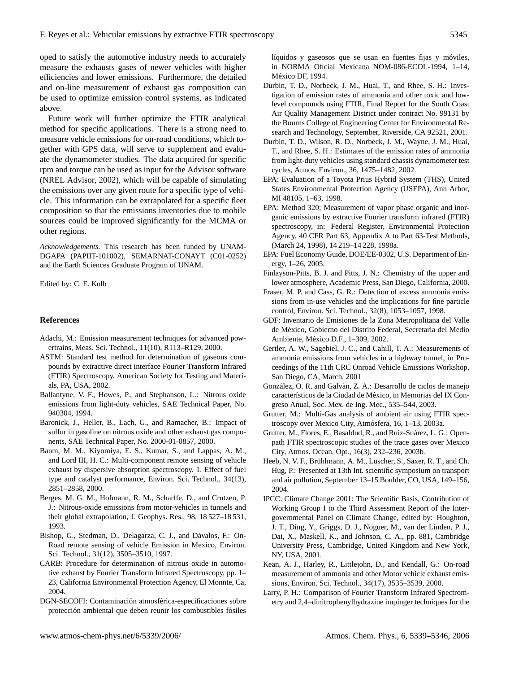oped to satisfy the automotive industry needs to accurately measure the exhausts gases of newer vehicles with higher efficiencies and lower emissions. Furthermore, the detailed and on-line measurement of exhaust gas composition can be used to optimize emission control systems, as indicated above.

Future work will further optimize the FTIR analytical method for specific applications. There is a strong need to measure vehicle emissions for on-road conditions, which together with GPS data, will serve to supplement and evaluate the dynamometer studies. The data acquired for specific rpm and torque can be used as input for the Advisor software (NREL Advisor, 2002), which will be capable of simulating the emissions over any given route for a specific type of vehicle. This information can be extrapolated for a specific fleet composition so that the emissions inventories due to mobile sources could be improved significantly for the MCMA or other regions.

*Acknowledgements.* This research has been funded by UNAM-DGAPA (PAPIIT-101002), SEMARNAT-CONAYT (C01-0252) and the Earth Sciences Graduate Program of UNAM.

Edited by: C. E. Kolb

#### **References**

- Adachi, M.: Emission measurement techniques for advanced powertrains, Meas. Sci. Technol., 11(10), R113–R129, 2000.
- ASTM: Standard test method for determination of gaseous compounds by extractive direct interface Fourier Transform Infrared (FTIR) Spectroscopy, American Society for Testing and Materials, PA, USA, 2002.
- Ballantyne, V. F., Howes, P., and Stephanson, L.: Nitrous oxide emissions from light-duty vehicles, SAE Technical Paper, No. 940304, 1994.
- Baronick, J., Heller, B., Lach, G., and Ramacher, B.: Impact of sulfur in gasoline on nitrous oxide and other exhaust gas components, SAE Technical Paper, No. 2000-01-0857, 2000.
- Baum, M. M., Kiyomiya, E. S., Kumar, S., and Lappas, A. M., and Lord III, H. C.: Multi-component remote sensing of vehicle exhaust by dispersive absorption spectroscopy. 1. Effect of fuel type and catalyst performance, Environ. Sci. Technol., 34(13), 2851–2858, 2000.
- Berges, M. G. M., Hofmann, R. M., Scharffe, D., and Crutzen, P. J.: Nitrous-oxide emissions from motor-vehicles in tunnels and their global extrapolation, J. Geophys. Res., 98, 18 527–18 531, 1993.
- Bishop, G., Stedman, D., Delagarza, C. J., and Dávalos, F.: On-Road remote sensing of vehicle Emission in Mexico, Environ. Sci. Technol., 31(12), 3505–3510, 1997.
- CARB: Procedure for determination of nitrous oxide in automotive exhaust by Fourier Transform Infrared Spectroscopy, pp. 1– 23, California Environmental Protection Agency, El Monnte, Ca, 2004.
- DGN-SECOFI: Contaminación atmosférica-especificaciones sobre protección ambiental que deben reunir los combustibles fósiles

líquidos y gaseosos que se usan en fuentes fijas y móviles, in NORMA Oficial Mexicana NOM-086-ECOL-1994, 1–14, México DF, 1994.

- Durbin, T. D., Norbeck, J. M., Huai, T., and Rhee, S. H.: Investigation of emission rates of ammonia and other toxic and lowlevel compounds using FTIR, Final Report for the South Coast Air Quality Management District under contract No. 99131 by the Bourns College of Engineering Center for Environmental Research and Technology, September, Riverside, CA 92521, 2001.
- Durbin, T. D., Wilson, R. D., Norbeck, J. M., Wayne, J. M., Huai, T., and Rhee, S. H.: Estimates of the emission rates of ammonia from light-duty vehicles using standard chassis dynamometer test cycles, Atmos. Environ., 36, 1475–1482, 2002.
- EPA: Evaluation of a Toyota Prius Hybrid System (THS), United States Environmental Protection Agency (USEPA), Ann Arbor, MI 48105, 1–63, 1998.
- EPA: Method 320; Measurement of vapor phase organic and inorganic emissions by extractive Fourier transform infrared (FTIR) spectroscopy, in: Federal Register, Environmental Protection Agency, 40 CFR Part 63, Appendix A to Part 63-Test Methods, (March 24, 1998), 14 219–14 228, 1998a.
- EPA: Fuel Economy Guide, DOE/EE-0302, U.S. Department of Energy, 1–26, 2005.
- Finlayson-Pitts, B. J. and Pitts, J. N.: Chemistry of the upper and lower atmosphere, Academic Press, San Diego, California, 2000.
- Fraser, M. P. and Cass, G. R.: Detection of excess ammonia emissions from in-use vehicles and the implications for fine particle control, Environ. Sci. Technol., 32(8), 1053–1057, 1998.
- GDF: Inventario de Emisiones de la Zona Metropolitana del Valle de Mexico, Gobierno del Distrito Federal, Secretaria del Medio ´ Ambiente, Mexico D.F., 1–309, 2002. ´
- Gertler, A. W., Sagebiel, J. C., and Cahill, T. A.: Measurements of ammonia emissions from vehicles in a highway tunnel, in Proceedings of the 11th CRC Onroad Vehicle Emissions Workshop, San Diego, CA, March, 2001
- González, O. R. and Galván, Z. A.: Desarrollo de ciclos de manejo característicos de la Ciudad de México, in Memorias del IX Congreso Anual, Soc. Mex. de Ing. Mec., 535–544, 2003.
- Grutter, M.: Multi-Gas analysis of ambient air using FTIR spectroscopy over Mexico City, Atmósfera, 16, 1-13, 2003a.
- Grutter, M., Flores, E., Basaldud, R., and Ruiz-Suárez, L. G.: Openpath FTIR spectroscopic studies of the trace gases over Mexico City, Atmos. Ocean. Opt., 16(3), 232–236, 2003b.
- Heeb, N. V. F., Brühlmann, A. M., Lüscher, S., Saxer, R. T., and Ch. Hug, P.: Presented at 13th Int. scientific symposium on transport and air pollution, September 13–15 Boulder, CO, USA, 149–156, 2004.
- IPCC: Climate Change 2001: The Scientific Basis, Contribution of Working Group I to the Third Assessment Report of the Intergovernmental Panel on Climate Change, edited by: Houghton, J. T., Ding, Y., Griggs, D. J., Noguer, M., van der Linden, P. J., Dai, X., Maskell, K., and Johnson, C. A., pp. 881, Cambridge University Press, Cambridge, United Kingdom and New York, NY, USA, 2001.
- Kean, A. J., Harley, R., Littlejohn, D., and Kendall, G.: On-road measurement of ammonia and other Motor vehicle exhaust emissions, Environ. Sci. Technol., 34(17), 3535–3539, 2000.
- Larry, P. H.: Comparison of Fourier Transform Infrared Spectrometry and 2,4=dinitrophenylhydrazine impinger techniques for the